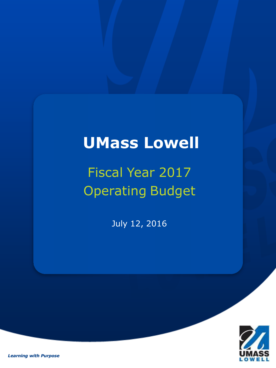## **UMass Lowell**

# Fiscal Year 2017 Operating Budget

July 12, 2016



*Learning with Purpose*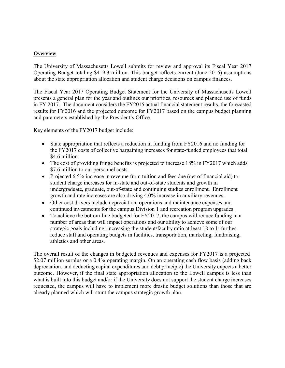## **Overview**

The University of Massachusetts Lowell submits for review and approval its Fiscal Year 2017 Operating Budget totaling \$419.3 million. This budget reflects current (June 2016) assumptions about the state appropriation allocation and student charge decisions on campus finances.

The Fiscal Year 2017 Operating Budget Statement for the University of Massachusetts Lowell presents a general plan for the year and outlines our priorities, resources and planned use of funds in FY 2017. The document considers the FY2015 actual financial statement results, the forecasted results for FY2016 and the projected outcome for FY2017 based on the campus budget planning and parameters established by the President's Office.

Key elements of the FY2017 budget include:

- State appropriation that reflects a reduction in funding from FY2016 and no funding for the FY2017 costs of collective bargaining increases for state-funded employees that total \$4.6 million.
- The cost of providing fringe benefits is projected to increase 18% in FY2017 which adds \$7.6 million to our personnel costs.
- Projected 6.5% increase in revenue from tuition and fees due (net of financial aid) to student charge increases for in-state and out-of-state students and growth in undergraduate, graduate, out-of-state and continuing studies enrollment. Enrollment growth and rate increases are also driving 4.0% increase in auxiliary revenues.
- Other cost drivers include depreciation, operations and maintenance expenses and continued investments for the campus Division 1 and recreation program upgrades.
- To achieve the bottom-line budgeted for FY2017, the campus will reduce funding in a number of areas that will impact operations and our ability to achieve some of our strategic goals including: increasing the student/faculty ratio at least 18 to 1; further reduce staff and operating budgets in facilities, transportation, marketing, fundraising, athletics and other areas.

The overall result of the changes in budgeted revenues and expenses for FY2017 is a projected \$2.07 million surplus or a 0.4% operating margin. On an operating cash flow basis (adding back depreciation, and deducting capital expenditures and debt principle) the University expects a better outcome. However, if the final state appropriation allocation to the Lowell campus is less than what is built into this budget and/or if the University does not support the student charge increases requested, the campus will have to implement more drastic budget solutions than those that are already planned which will stunt the campus strategic growth plan.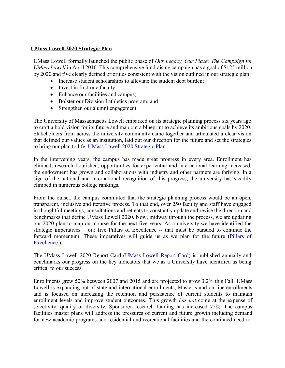#### **UMass Lowell 2020 Strategic Plan**

UMass Lowell formally launched the public phase of *Our Legacy, Our Place: The Campaign for UMass Lowell* in April 2016. This comprehensive fundraising campaign has a goal of \$125 million by 2020 and five clearly defined priorities consistent with the vision outlined in our strategic plan:

- Increase student scholarships to alleviate the student debt burden;
- Invest in first-rate faculty;
- Enhance our facilities and campus;
- Bolster our Division I athletics program; and
- Strengthen our alumni engagement.

The University of Massachusetts Lowell embarked on its strategic planning process six years ago to craft a bold vision for its future and map out a blueprint to achieve its ambitious goals by 2020. Stakeholders from across the university community came together and articulated a clear vision that defined our values as an institution, laid out our direction for the future and set the strategies to bring our plan to life. UMass Lowell 2020 Strategic Plan.

In the intervening years, the campus has made great progress in every area. Enrollment has climbed, research flourished, opportunities for experiential and international learning increased, the endowment has grown and collaborations with industry and other partners are thriving. In a sign of the national and international recognition of this progress, the university has steadily climbed in numerous college rankings.

From the outset, the campus committed that the strategic planning process would be an open, transparent, inclusive and iterative process. To that end, over 250 faculty and staff have engaged in thoughtful meetings, consultations and retreats to constantly update and revise the direction and benchmarks that define UMass Lowell 2020. Now, midway through the process, we are updating our 2020 plan to map our course for the next five years. As a university we have identified the strategic imperatives – our five Pillars of Excellence -- that must be pursued to continue the forward momentum. These imperatives will guide us as we plan for the future (Pillars of Excellence ).

The UMass Lowell 2020 Report Card (UMass Lowell Report Card) is published annually and benchmarks our progress on the key indicators that we as a University have identified as being critical to our success.

Enrollments grew 50% between 2007 and 2015 and are projected to grow 3.2% this Fall. UMass Lowell is expanding out-of-state and international enrollments, Master's and on-line enrollments and is focused on increasing the retention and persistence of current students to maintain enrollment levels and improve student outcomes. This growth *has not* come at the expense of selectivity, quality or diversity. Sponsored research funding has increased 72%. The campus facilities master plans will address the pressures of current and future growth including demand for new academic programs and residential and recreational facilities and the continued need to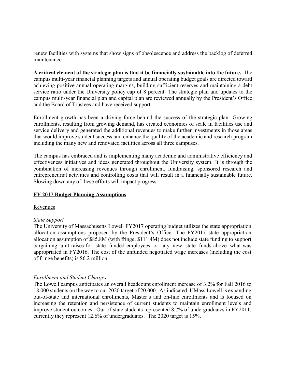renew facilities with systems that show signs of obsolescence and address the backlog of deferred maintenance.

**A critical element of the strategic plan is that it be financially sustainable into the future.** The campus multi-year financial planning targets and annual operating budget goals are directed toward achieving positive annual operating margins, building sufficient reserves and maintaining a debt service ratio under the University policy cap of 8 percent. The strategic plan and updates to the campus multi-year financial plan and capital plan are reviewed annually by the President's Office and the Board of Trustees and have received support.

Enrollment growth has been a driving force behind the success of the strategic plan. Growing enrollments, resulting from growing demand, has created economies of scale in facilities use and service delivery and generated the additional revenues to make further investments in those areas that would improve student success and enhance the quality of the academic and research program including the many new and renovated facilities across all three campuses.

The campus has embraced and is implementing many academic and administrative efficiency and effectiveness initiatives and ideas generated throughout the University system. It is through the combination of increasing revenues through enrollment, fundraising, sponsored research and entrepreneurial activities and controlling costs that will result in a financially sustainable future. Slowing down any of these efforts will impact progress.

#### **FY 2017 Budget Planning Assumptions**

#### Revenues

#### *State Support*

The University of Massachusetts Lowell FY2017 operating budget utilizes the state appropriation allocation assumptions proposed by the President's Office. The FY2017 state appropriation allocation assumption of \$85.8M (with fringe, \$111.4M) does not include state funding to support bargaining unit raises for state funded employees or any new state funds above what was appropriated in FY2016. The cost of the unfunded negotiated wage increases (including the cost of fringe benefits) is \$6.2 million.

#### *Enrollment and Student Charges*

The Lowell campus anticipates an overall headcount enrollment increase of 3.2% for Fall 2016 to 18,000 students on the way to our 2020 target of 20,000. As indicated, UMass Lowell is expanding out-of-state and international enrollments, Master's and on-line enrollments and is focused on increasing the retention and persistence of current students to maintain enrollment levels and improve student outcomes. Out-of-state students represented 8.7% of undergraduates in FY2011; currently they represent 12.6% of undergraduates. The 2020 target is 15%.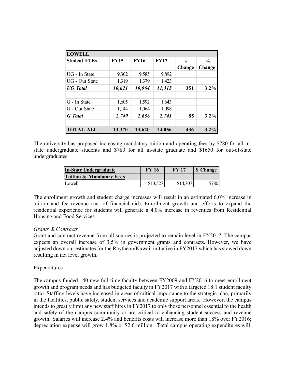| <b>LOWELL</b>         |             |             |             |        |               |
|-----------------------|-------------|-------------|-------------|--------|---------------|
| <b>Student FTEs</b>   | <b>FY15</b> | <b>FY16</b> | <b>FY17</b> | #      | $\frac{0}{0}$ |
|                       |             |             |             | Change | Change        |
| UG - In State         | 9,302       | 9,585       | 9,892       |        |               |
| <b>UG</b> - Out State | 1,319       | 1,379       | 1,423       |        |               |
| <b>UG</b> Total       | 10,621      | 10,964      | 11,315      | 351    | $3.2\%$       |
| G - In State          | 1,605       | 1,592       | 1,643       |        |               |
| G - Out State         | 1,144       | 1,064       | 1,098       |        |               |
| <b>G</b> Total        | 2,749       | 2,656       | 2,741       | 85     | $3.2\%$       |
| <b>TOTAL ALL</b>      | 13,370      | 13,620      | 14,056      | 436    | $3.2\%$       |

The university has proposed increasing mandatory tuition and operating fees by \$780 for all instate undergraduate students and \$780 for all in-state graduate and \$1650 for out-of-state undergraduates.

| In-State Undergraduate              | FY 16 | <b>FY 17</b> | <b>\$</b> Change |
|-------------------------------------|-------|--------------|------------------|
| <b>Tuition &amp; Mandatory Fees</b> |       |              |                  |
| Lowell                              |       | \$14,307     | \$780            |

The enrollment growth and student charge increases will result in an estimated 6.0% increase in tuition and fee revenue (net of financial aid). Enrollment growth and efforts to expand the residential experience for students will generate a 4.0% increase in revenues from Residential Housing and Food Services.

#### *Grants & Contracts*

Grant and contract revenue from all sources is projected to remain level in FY2017. The campus expects an overall increase of 3.5% in government grants and contracts. However, we have adjusted down our estimates for the Raytheon/Kuwait initiative in FY2017 which has slowed down resulting in net level growth.

#### Expenditures

The campus funded 140 new full-time faculty between FY2009 and FY2016 to meet enrollment growth and program needs and has budgeted faculty in FY2017 with a targeted 18:1 student faculty ratio. Staffing levels have increased in areas of critical importance to the strategic plan, primarily in the facilities, public safety, student services and academic support areas. However, the campus intends to greatly limit any new staff hires in FY2017 to only those personnel essential to the health and safety of the campus community or are critical to enhancing student success and revenue growth. Salaries will increase 2.4% and benefits costs will increase more than 18% over FY2016; depreciation expense will grow 1.8% or \$2.6 million. Total campus operating expenditures will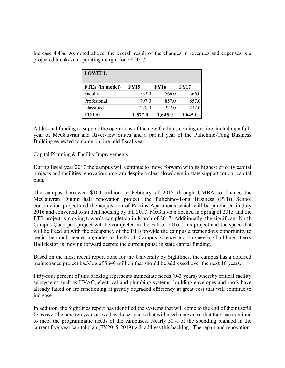increase 4.4%. As noted above, the overall result of the changes in revenues and expenses is a projected breakeven operating margin for FY2017.

| <b>LOWELL</b>   |             |             |             |
|-----------------|-------------|-------------|-------------|
| FTEs (in model) | <b>FY15</b> | <b>FY16</b> | <b>FY17</b> |
| Faculty         | 552.0       | 566.0       | 566.0       |
| Profesional     | 797.0       | 857.0       | 857.0       |
| Classified      | 228.0       | 222.0       | 222.0       |
| <b>TOTAL</b>    | 1,577.0     | 1,645.0     | 1,645.0     |

Additional funding to support the operations of the new facilities coming on-line, including a fullyear of McGauvran and Riverview Suites and a partial year of the Pulichino-Tong Business Building expected to come on line mid fiscal year.

#### Capital Planning & Facility Improvements

During fiscal year 2017 the campus will continue to move forward with its highest priority capital projects and facilities renovation program despite a clear slowdown in state support for our capital plan.

The campus borrowed \$100 million in February of 2015 through UMBA to finance the McGauvran Dining hall renovation project, the Pulichino-Tong Business (PTB) School construction project and the acquisition of Perkins Apartments which will be purchased in July 2016 and converted to student housing by fall 2017. McGauvran opened in Spring of 2015 and the PTB project is moving towards completion in March of 2017. Additionally, the significant North Campus Quad pod project will be completed in the Fall of 2016. This project and the space that will be freed up with the occupancy of the PTB provide the campus a tremendous opportunity to begin the much-needed upgrades to the North Campus Science and Engineering buildings. Perry Hall design is moving forward despite the current pause in state capital funding.

Based on the most recent report done for the University by Sightlines, the campus has a deferred maintenance project backlog of \$640 million that should be addressed over the next 10 years.

Fifty-four percent of this backlog represents immediate needs (0-3 years) whereby critical facility subsystems such as HVAC, electrical and plumbing systems, building envelopes and roofs have already failed or are functioning at greatly degraded efficiency at great cost that will continue to increase.

In addition, the Sightlines report has identified the systems that will come to the end of their useful lives over the next ten years as well as those spaces that will need renewal so that they can continue to meet the programmatic needs of the campuses. Nearly 50% of the spending planned in the current five-year capital plan (FY2015-2019) will address this backlog. The repair and renovation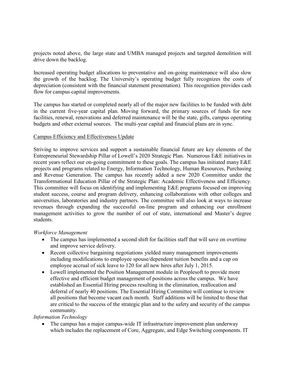projects noted above, the large state and UMBA managed projects and targeted demolition will drive down the backlog.

Increased operating budget allocations to preventative and on-going maintenance will also slow the growth of the backlog. The University's operating budget fully recognizes the costs of depreciation (consistent with the financial statement presentation). This recognition provides cash flow for campus capital improvements.

The campus has started or completed nearly all of the major new facilities to be funded with debt in the current five-year capital plan. Moving forward, the primary sources of funds for new facilities, renewal, renovations and deferred maintenance will be the state, gifts, campus operating budgets and other external sources. The multi-year capital and financial plans are in sync.

### Campus Efficiency and Effectiveness Update

Striving to improve services and support a sustainable financial future are key elements of the Entrepreneurial Stewardship Pillar of Lowell's 2020 Strategic Plan. Numerous E&E initiatives in recent years reflect our on-going commitment to these goals. The campus has initiated many E&E projects and programs related to Energy, Information Technology, Human Resources, Purchasing and Revenue Generation. The campus has recently added a new 2020 Committee under the Transformational Education Pillar of the Strategic Plan: Academic Effectiveness and Efficiency. This committee will focus on identifying and implementing E&E programs focused on improving student success, course and program delivery, enhancing collaborations with other colleges and universities, laboratories and industry partners. The committee will also look at ways to increase revenues through expanding the successful on-line program and enhancing our enrollment management activities to grow the number of out of state, international and Master's degree students.

#### *Workforce Management*

- The campus has implemented a second shift for facilities staff that will save on overtime and improve service delivery.
- Recent collective bargaining negotiations yielded many management improvements including modifications to employee spouse/dependent tuition benefits and a cap on employee accrual of sick leave to 120 for all new hires after July 1, 2015.
- Lowell implemented the Position Management module in Peoplesoft to provide more effective and efficient budget management of positions across the campus. We have established an Essential Hiring process resulting in the elimination, reallocation and deferral of nearly 40 positions. The Essential Hiring Committee will continue to review all positions that become vacant each month. Staff additions will be limited to those that are critical to the success of the strategic plan and to the safety and security of the campus community.

## *Information Technology*

• The campus has a major campus-wide IT infrastructure improvement plan underway which includes the replacement of Core, Aggregate, and Edge Switching components. IT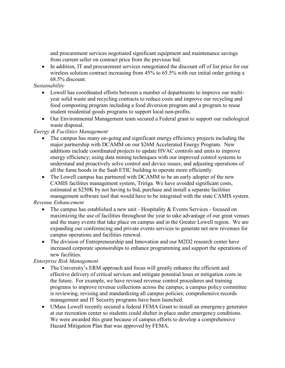and procurement services negotiated significant equipment and maintenance savings from current seller on contract price from the previous bid.

• In addition, IT and procurement services renegotiated the discount off of list price for our wireless solution contract increasing from 45% to 65.5% with our initial order getting a 68.5% discount.

## *Sustainability*

- Lowell has coordinated efforts between a number of departments to improve our multiyear solid waste and recycling contracts to reduce costs and improve our recycling and food composting program including a food diversion program and a program to reuse student residential goods programs to support local non-profits.
- Our Environmental Management team secured a Federal grant to support our radiological waste disposal.

## *Energy & Facilities Management*

- The campus has many on-going and significant energy efficiency projects including the major partnership with DCAMM on our \$26M Accelerated Energy Program. New additions include coordinated projects to update HVAC controls and units to improve energy efficiency; using data mining techniques with our improved control systems to understand and proactively solve control and device issues; and adjusting operations of all the fume hoods in the Saab ETIC building to operate more efficiently.
- The Lowell campus has partnered with DCAMM to be an early adopter of the new CAMIS facilities management system, Tririga. We have avoided significant costs, estimated at \$250K by not having to bid, purchase and install a separate facilities management software tool that would have to be integrated with the state CAMIS system.

## *Revenue Enhancement*

- The campus has established a new unit Hospitality & Events Services focused on maximizing the use of facilities throughout the year to take advantage of our great venues and the many events that take place on campus and in the Greater Lowell region. We are expanding our conferencing and private events services to generate net new revenues for campus operations and facilities renewal.
- The division of Entrepreneurship and Innovation and our M2D2 research center have increased corporate sponsorships to enhance programming and support the operations of new facilities.

## *Enterprise Risk Management*

- The University's ERM approach and focus will greatly enhance the efficient and effective delivery of critical services and mitigate potential loses or mitigation costs in the future. For example, we have revised revenue control procedures and training programs to improve revenue collections across the campus; a campus policy committee is reviewing, revising and standardizing all campus policies; comprehensive records management and IT Security programs have been launched.
- UMass Lowell recently secured a federal FEMA Grant to install an emergency generator at our recreation center so students could shelter in place under emergency conditions. We were awarded this grant because of campus efforts to develop a comprehensive Hazard Mitigation Plan that was approved by FEMA.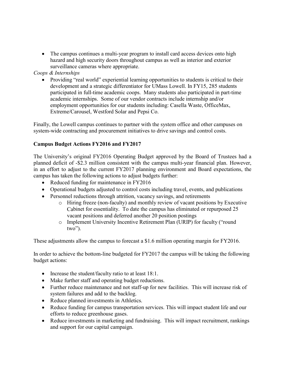• The campus continues a multi-year program to install card access devices onto high hazard and high security doors throughout campus as well as interior and exterior surveillance cameras where appropriate.

## *Coops & Internships*

• Providing "real world" experiential learning opportunities to students is critical to their development and a strategic differentiator for UMass Lowell. In FY15, 285 students participated in full-time academic coops. Many students also participated in part-time academic internships. Some of our vendor contracts include internship and/or employment opportunities for our students including: Casella Waste, OfficeMax, Extreme/Carousel, Westford Solar and Pepsi Co.

Finally, the Lowell campus continues to partner with the system office and other campuses on system-wide contracting and procurement initiatives to drive savings and control costs.

## **Campus Budget Actions FY2016 and FY2017**

The University's original FY2016 Operating Budget approved by the Board of Trustees had a planned deficit of -\$2.3 million consistent with the campus multi-year financial plan. However, in an effort to adjust to the current FY2017 planning environment and Board expectations, the campus has taken the following actions to adjust budgets further:

- Reduced funding for maintenance in FY2016
- Operational budgets adjusted to control costs including travel, events, and publications
- Personnel reductions through attrition, vacancy savings, and retirements
	- o Hiring freeze (non-faculty) and monthly review of vacant positions by Executive Cabinet for essentiality. To date the campus has eliminated or repurposed 25 vacant positions and deferred another 20 position postings
	- o Implement University Incentive Retirement Plan (URIP) for faculty ("round two").

These adjustments allow the campus to forecast a \$1.6 million operating margin for FY2016.

In order to achieve the bottom-line budgeted for FY2017 the campus will be taking the following budget actions:

- Increase the student/faculty ratio to at least 18:1.
- Make further staff and operating budget reductions.
- Further reduce maintenance and not staff-up for new facilities. This will increase risk of system failures and add to the backlog.
- Reduce planned investments in Athletics.
- Reduce funding for campus transportation services. This will impact student life and our efforts to reduce greenhouse gases.
- Reduce investments in marketing and fundraising. This will impact recruitment, rankings and support for our capital campaign.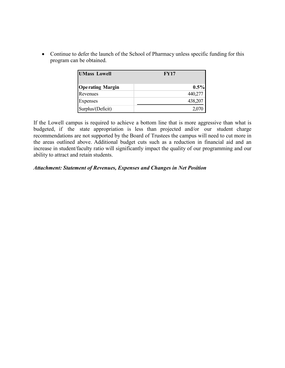• Continue to defer the launch of the School of Pharmacy unless specific funding for this program can be obtained.

| <b>UMass Lowell</b>     | <b>FY17</b> |
|-------------------------|-------------|
| <b>Operating Margin</b> | $0.5\%$     |
| Revenues                | 440,277     |
| Expenses                | 438,207     |
| Surplus/(Deficit)       | 2,070       |

If the Lowell campus is required to achieve a bottom line that is more aggressive than what is budgeted, if the state appropriation is less than projected and/or our student charge recommendations are not supported by the Board of Trustees the campus will need to cut more in the areas outlined above. Additional budget cuts such as a reduction in financial aid and an increase in student/faculty ratio will significantly impact the quality of our programming and our ability to attract and retain students.

### *Attachment: Statement of Revenues, Expenses and Changes in Net Position*